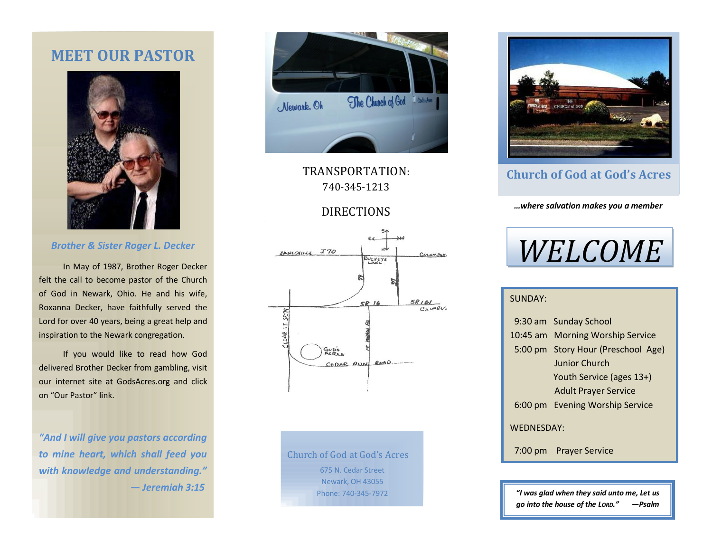# **MEET OUR PASTOR**



### *Brother & Sister Roger L. Decker*

 In May of 1987, Brother Roger Decker felt the call to become pastor of the Church of God in Newark, Ohio. He and his wife, Roxanna Decker, have faithfully served the Lord for over 40 years, being a great help and inspiration to the Newark congregation.

 If you would like to read how God delivered Brother Decker from gambling, visit our internet site at GodsAcres.org and click on "Our Pastor" link.

*"And I will give you pastors according to mine heart, which shall feed you with knowledge and understanding." — Jeremiah 3:15*



TRANSPORTATION: 740-345-1213

## DIRECTIONS



Church of God at God's Acres 675 N. Cedar Street Newark, OH 43055 Phone: 740-345-7972



### **Church of God at God's Acres**

*…where salvation makes you a member*

# *WELCOME*

### SUNDAY:

|                   | 9:30 am Sunday School              |  |
|-------------------|------------------------------------|--|
|                   | 10:45 am Morning Worship Service   |  |
|                   | 5:00 pm Story Hour (Preschool Age) |  |
|                   | Junior Church                      |  |
|                   | Youth Service (ages 13+)           |  |
|                   | <b>Adult Prayer Service</b>        |  |
|                   | 6:00 pm Evening Worship Service    |  |
| <b>WEDNESDAY:</b> |                                    |  |
|                   | 7:00 pm Prayer Service             |  |
|                   |                                    |  |

*"I was glad when they said unto me, Let us go into the house of the LORD." —Psalm 122:1*